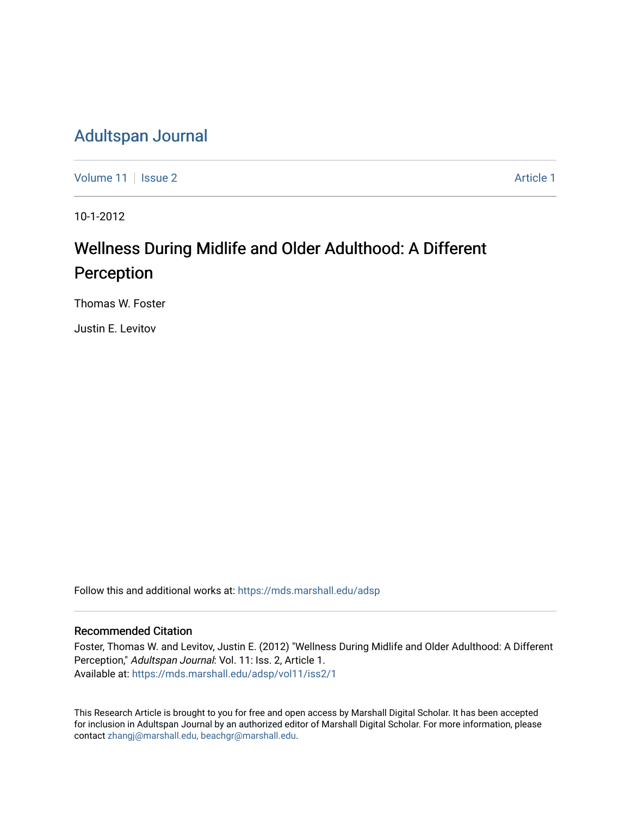# [Adultspan Journal](https://mds.marshall.edu/adsp)

[Volume 11](https://mds.marshall.edu/adsp/vol11) | [Issue 2](https://mds.marshall.edu/adsp/vol11/iss2) Article 1

10-1-2012

# Wellness During Midlife and Older Adulthood: A Different Perception

Thomas W. Foster

Justin E. Levitov

Follow this and additional works at: [https://mds.marshall.edu/adsp](https://mds.marshall.edu/adsp?utm_source=mds.marshall.edu%2Fadsp%2Fvol11%2Fiss2%2F1&utm_medium=PDF&utm_campaign=PDFCoverPages) 

# Recommended Citation

Foster, Thomas W. and Levitov, Justin E. (2012) "Wellness During Midlife and Older Adulthood: A Different Perception," Adultspan Journal: Vol. 11: Iss. 2, Article 1. Available at: [https://mds.marshall.edu/adsp/vol11/iss2/1](https://mds.marshall.edu/adsp/vol11/iss2/1?utm_source=mds.marshall.edu%2Fadsp%2Fvol11%2Fiss2%2F1&utm_medium=PDF&utm_campaign=PDFCoverPages) 

This Research Article is brought to you for free and open access by Marshall Digital Scholar. It has been accepted for inclusion in Adultspan Journal by an authorized editor of Marshall Digital Scholar. For more information, please contact [zhangj@marshall.edu, beachgr@marshall.edu](mailto:zhangj@marshall.edu,%20beachgr@marshall.edu).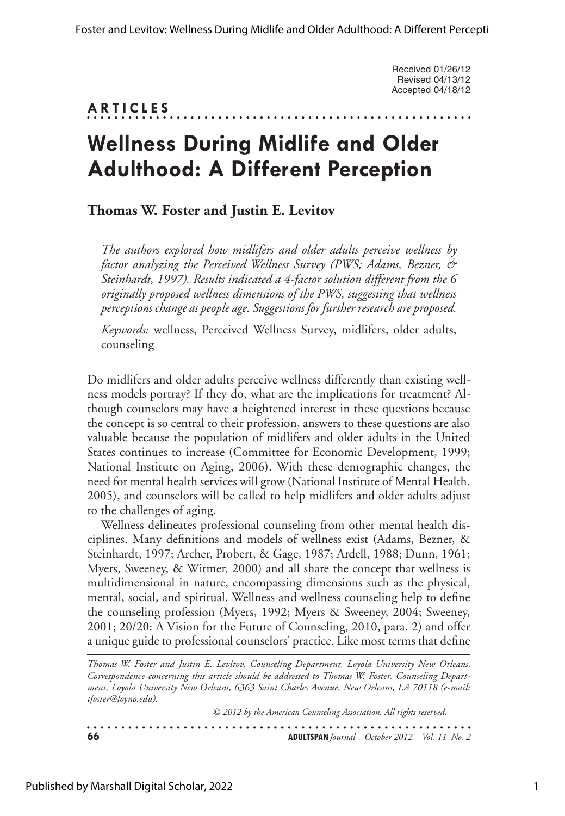Received 01/26/12 Revised 04/13/12 Accepted 04/18/12

**articles** . . . . . . . . . . . . . . . .

# **Wellness During Midlife and Older Adulthood: A Different Perception**

# **Thomas W. Foster and Justin E. Levitov**

*The authors explored how midlifers and older adults perceive wellness by factor analyzing the Perceived Wellness Survey (PWS; Adams, Bezner, & Steinhardt, 1997). Results indicated a 4-factor solution different from the 6 originally proposed wellness dimensions of the PWS, suggesting that wellness perceptions change as people age. Suggestions for further research are proposed.* 

*Keywords:* wellness, Perceived Wellness Survey, midlifers, older adults, counseling

Do midlifers and older adults perceive wellness differently than existing wellness models portray? If they do, what are the implications for treatment? Although counselors may have a heightened interest in these questions because the concept is so central to their profession, answers to these questions are also valuable because the population of midlifers and older adults in the United States continues to increase (Committee for Economic Development, 1999; National Institute on Aging, 2006). With these demographic changes, the need for mental health services will grow (National Institute of Mental Health, 2005), and counselors will be called to help midlifers and older adults adjust to the challenges of aging.

Wellness delineates professional counseling from other mental health disciplines. Many definitions and models of wellness exist (Adams, Bezner, & Steinhardt, 1997; Archer, Probert, & Gage, 1987; Ardell, 1988; Dunn, 1961; Myers, Sweeney, & Witmer, 2000) and all share the concept that wellness is multidimensional in nature, encompassing dimensions such as the physical, mental, social, and spiritual. Wellness and wellness counseling help to define the counseling profession (Myers, 1992; Myers & Sweeney, 2004; Sweeney, 2001; 20/20: A Vision for the Future of Counseling, 2010, para. 2) and offer a unique guide to professional counselors' practice. Like most terms that define

*Thomas W. Foster and Justin E. Levitov, Counseling Department, Loyola University New Orleans. Correspondence concerning this article should be addressed to Thomas W. Foster, Counseling Department, Loyola University New Orleans, 6363 Saint Charles Avenue, New Orleans, LA 70118 (e-mail: tfoster@loyno.edu).* 

*© 2012 by the American Counseling Association. All rights reserved.* **66 ADULTSPAN***Journal October 2012 Vol. 11 No. 2*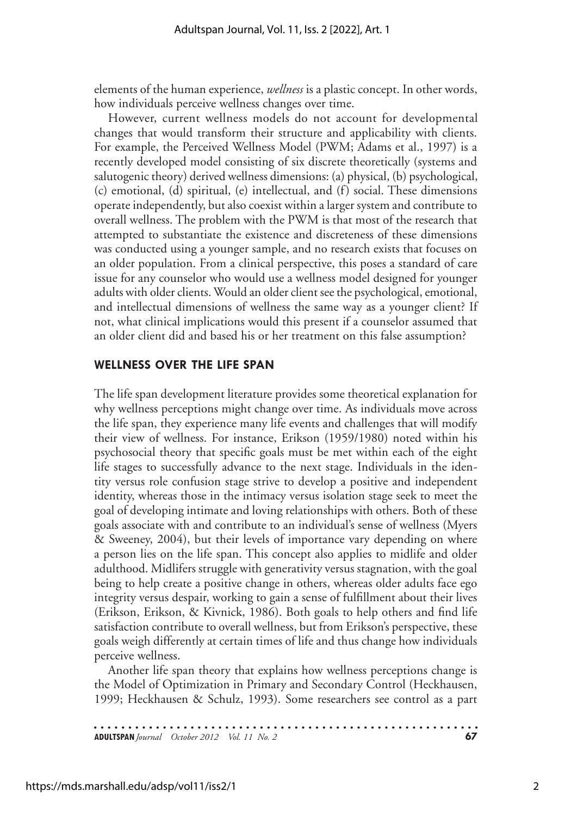elements of the human experience, *wellness* is a plastic concept. In other words, how individuals perceive wellness changes over time.

However, current wellness models do not account for developmental changes that would transform their structure and applicability with clients. For example, the Perceived Wellness Model (PWM; Adams et al., 1997) is a recently developed model consisting of six discrete theoretically (systems and salutogenic theory) derived wellness dimensions: (a) physical, (b) psychological, (c) emotional, (d) spiritual, (e) intellectual, and (f) social. These dimensions operate independently, but also coexist within a larger system and contribute to overall wellness. The problem with the PWM is that most of the research that attempted to substantiate the existence and discreteness of these dimensions was conducted using a younger sample, and no research exists that focuses on an older population. From a clinical perspective, this poses a standard of care issue for any counselor who would use a wellness model designed for younger adults with older clients. Would an older client see the psychological, emotional, and intellectual dimensions of wellness the same way as a younger client? If not, what clinical implications would this present if a counselor assumed that an older client did and based his or her treatment on this false assumption?

#### **Wellness Over the Life Span**

The life span development literature provides some theoretical explanation for why wellness perceptions might change over time. As individuals move across the life span, they experience many life events and challenges that will modify their view of wellness. For instance, Erikson (1959/1980) noted within his psychosocial theory that specific goals must be met within each of the eight life stages to successfully advance to the next stage. Individuals in the identity versus role confusion stage strive to develop a positive and independent identity, whereas those in the intimacy versus isolation stage seek to meet the goal of developing intimate and loving relationships with others. Both of these goals associate with and contribute to an individual's sense of wellness (Myers & Sweeney, 2004), but their levels of importance vary depending on where a person lies on the life span. This concept also applies to midlife and older adulthood. Midlifers struggle with generativity versus stagnation, with the goal being to help create a positive change in others, whereas older adults face ego integrity versus despair, working to gain a sense of fulfillment about their lives (Erikson, Erikson, & Kivnick, 1986). Both goals to help others and find life satisfaction contribute to overall wellness, but from Erikson's perspective, these goals weigh differently at certain times of life and thus change how individuals perceive wellness.

Another life span theory that explains how wellness perceptions change is the Model of Optimization in Primary and Secondary Control (Heckhausen, 1999; Heckhausen & Schulz, 1993). Some researchers see control as a part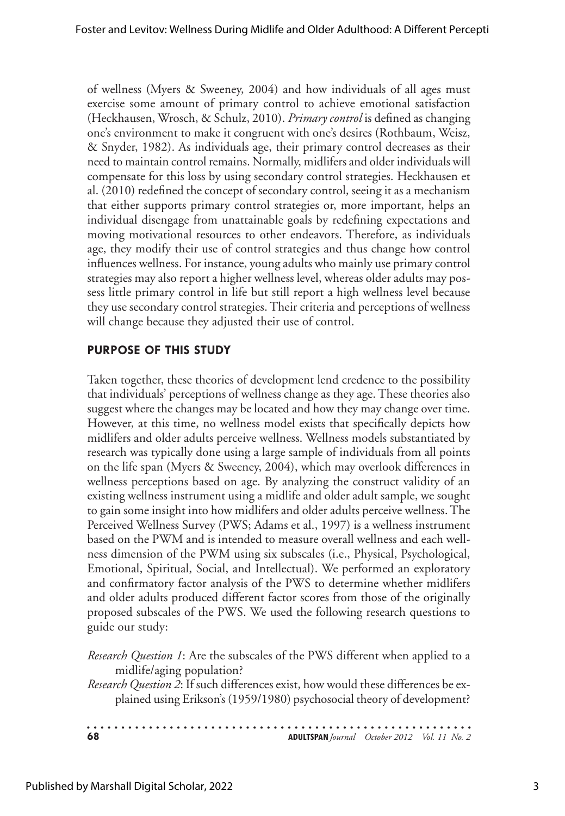of wellness (Myers & Sweeney, 2004) and how individuals of all ages must exercise some amount of primary control to achieve emotional satisfaction (Heckhausen, Wrosch, & Schulz, 2010). *Primary control* is defined as changing one's environment to make it congruent with one's desires (Rothbaum, Weisz, & Snyder, 1982). As individuals age, their primary control decreases as their need to maintain control remains. Normally, midlifers and older individuals will compensate for this loss by using secondary control strategies. Heckhausen et al. (2010) redefined the concept of secondary control, seeing it as a mechanism that either supports primary control strategies or, more important, helps an individual disengage from unattainable goals by redefining expectations and moving motivational resources to other endeavors. Therefore, as individuals age, they modify their use of control strategies and thus change how control influences wellness. For instance, young adults who mainly use primary control strategies may also report a higher wellness level, whereas older adults may possess little primary control in life but still report a high wellness level because they use secondary control strategies. Their criteria and perceptions of wellness will change because they adjusted their use of control.

# **Purpose of This Study**

Taken together, these theories of development lend credence to the possibility that individuals' perceptions of wellness change as they age. These theories also suggest where the changes may be located and how they may change over time. However, at this time, no wellness model exists that specifically depicts how midlifers and older adults perceive wellness. Wellness models substantiated by research was typically done using a large sample of individuals from all points on the life span (Myers & Sweeney, 2004), which may overlook differences in wellness perceptions based on age. By analyzing the construct validity of an existing wellness instrument using a midlife and older adult sample, we sought to gain some insight into how midlifers and older adults perceive wellness. The Perceived Wellness Survey (PWS; Adams et al., 1997) is a wellness instrument based on the PWM and is intended to measure overall wellness and each wellness dimension of the PWM using six subscales (i.e., Physical, Psychological, Emotional, Spiritual, Social, and Intellectual). We performed an exploratory and confirmatory factor analysis of the PWS to determine whether midlifers and older adults produced different factor scores from those of the originally proposed subscales of the PWS. We used the following research questions to guide our study:

*Research Question 1*: Are the subscales of the PWS different when applied to a midlife/aging population?

*Research Question 2*: If such differences exist, how would these differences be explained using Erikson's (1959/1980) psychosocial theory of development?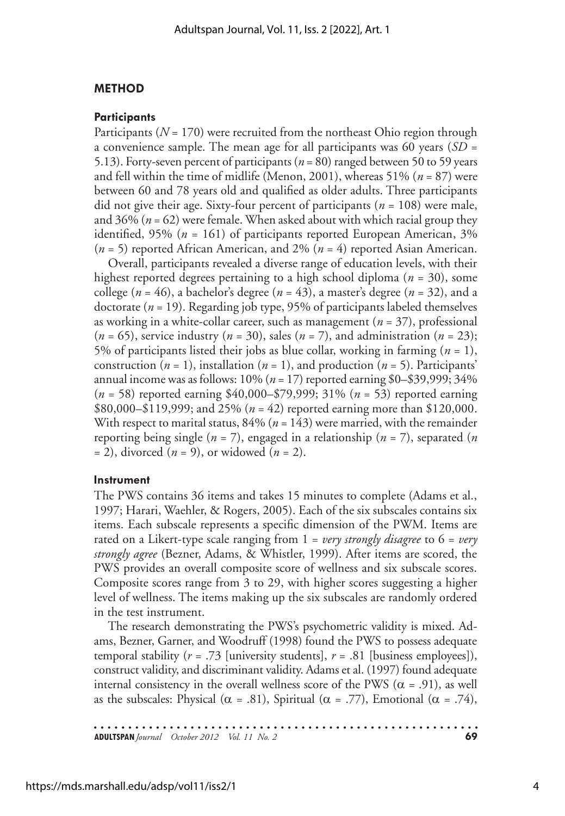#### **Method**

#### **Participants**

Participants (*N* = 170) were recruited from the northeast Ohio region through a convenience sample. The mean age for all participants was 60 years (*SD* = 5.13). Forty-seven percent of participants (*n* = 80) ranged between 50 to 59 years and fell within the time of midlife (Menon, 2001), whereas 51% (*n* = 87) were between 60 and 78 years old and qualified as older adults. Three participants did not give their age. Sixty-four percent of participants (*n* = 108) were male, and  $36\%$  ( $n = 62$ ) were female. When asked about with which racial group they identified, 95% (*n* = 161) of participants reported European American, 3% (*n* = 5) reported African American, and 2% (*n* = 4) reported Asian American.

Overall, participants revealed a diverse range of education levels, with their highest reported degrees pertaining to a high school diploma (*n* = 30), some college ( $n = 46$ ), a bachelor's degree ( $n = 43$ ), a master's degree ( $n = 32$ ), and a doctorate (*n* = 19). Regarding job type, 95% of participants labeled themselves as working in a white-collar career, such as management (*n* = 37), professional  $(n = 65)$ , service industry  $(n = 30)$ , sales  $(n = 7)$ , and administration  $(n = 23)$ ; 5% of participants listed their jobs as blue collar, working in farming (*n* = 1), construction  $(n = 1)$ , installation  $(n = 1)$ , and production  $(n = 5)$ . Participants' annual income was as follows:  $10\%$  ( $n = 17$ ) reported earning \$0–\$39,999; 34% (*n* = 58) reported earning \$40,000–\$79,999; 31% (*n* = 53) reported earning \$80,000–\$119,999; and 25% (*n* = 42) reported earning more than \$120,000. With respect to marital status,  $84\%$  ( $n = 143$ ) were married, with the remainder reporting being single (*n* = 7), engaged in a relationship (*n* = 7), separated (*n*  = 2), divorced (*n* = 9), or widowed (*n* = 2).

#### **Instrument**

The PWS contains 36 items and takes 15 minutes to complete (Adams et al., 1997; Harari, Waehler, & Rogers, 2005). Each of the six subscales contains six items. Each subscale represents a specific dimension of the PWM. Items are rated on a Likert-type scale ranging from 1 = *very strongly disagree* to 6 = *very strongly agree* (Bezner, Adams, & Whistler, 1999). After items are scored, the PWS provides an overall composite score of wellness and six subscale scores. Composite scores range from 3 to 29, with higher scores suggesting a higher level of wellness. The items making up the six subscales are randomly ordered in the test instrument.

The research demonstrating the PWS's psychometric validity is mixed. Adams, Bezner, Garner, and Woodruff (1998) found the PWS to possess adequate temporal stability ( $r = .73$  [university students],  $r = .81$  [business employees]), construct validity, and discriminant validity. Adams et al. (1997) found adequate internal consistency in the overall wellness score of the PWS ( $\alpha$  = .91), as well as the subscales: Physical ( $\alpha$  = .81), Spiritual ( $\alpha$  = .77), Emotional ( $\alpha$  = .74),

. . . . . . . . . . **ADULTSPAN***Journal October 2012 Vol. 11 No. 2* **69**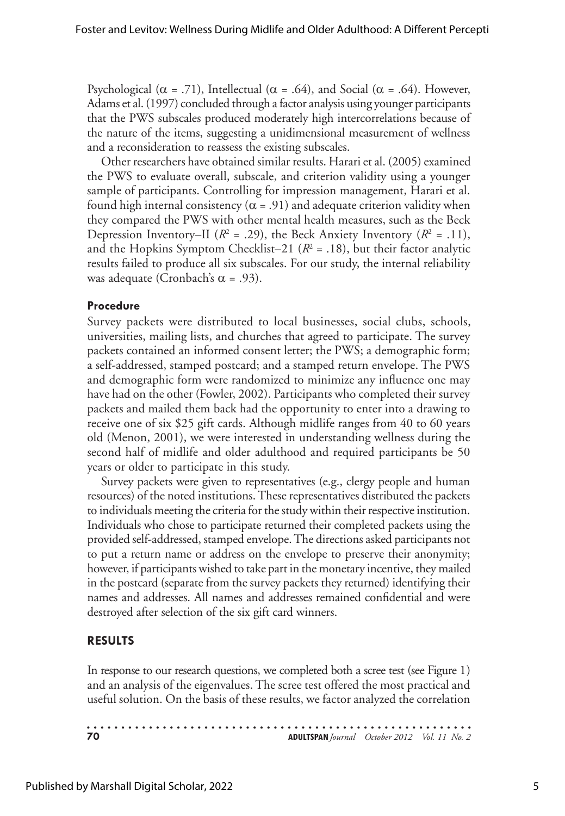Psychological ( $\alpha$  = .71), Intellectual ( $\alpha$  = .64), and Social ( $\alpha$  = .64). However, Adams et al. (1997) concluded through a factor analysis using younger participants that the PWS subscales produced moderately high intercorrelations because of the nature of the items, suggesting a unidimensional measurement of wellness and a reconsideration to reassess the existing subscales.

Other researchers have obtained similar results. Harari et al. (2005) examined the PWS to evaluate overall, subscale, and criterion validity using a younger sample of participants. Controlling for impression management, Harari et al. found high internal consistency ( $\alpha$  = .91) and adequate criterion validity when they compared the PWS with other mental health measures, such as the Beck Depression Inventory–II ( $R^2$  = .29), the Beck Anxiety Inventory ( $R^2$  = .11), and the Hopkins Symptom Checklist–21 ( $R^2$  = .18), but their factor analytic results failed to produce all six subscales. For our study, the internal reliability was adequate (Cronbach's  $\alpha$  = .93).

### **Procedure**

Survey packets were distributed to local businesses, social clubs, schools, universities, mailing lists, and churches that agreed to participate. The survey packets contained an informed consent letter; the PWS; a demographic form; a self-addressed, stamped postcard; and a stamped return envelope. The PWS and demographic form were randomized to minimize any influence one may have had on the other (Fowler, 2002). Participants who completed their survey packets and mailed them back had the opportunity to enter into a drawing to receive one of six \$25 gift cards. Although midlife ranges from 40 to 60 years old (Menon, 2001), we were interested in understanding wellness during the second half of midlife and older adulthood and required participants be 50 years or older to participate in this study.

Survey packets were given to representatives (e.g., clergy people and human resources) of the noted institutions. These representatives distributed the packets to individuals meeting the criteria for the study within their respective institution. Individuals who chose to participate returned their completed packets using the provided self-addressed, stamped envelope. The directions asked participants not to put a return name or address on the envelope to preserve their anonymity; however, if participants wished to take part in the monetary incentive, they mailed in the postcard (separate from the survey packets they returned) identifying their names and addresses. All names and addresses remained confidential and were destroyed after selection of the six gift card winners.

# **Results**

In response to our research questions, we completed both a scree test (see Figure 1) and an analysis of the eigenvalues. The scree test offered the most practical and useful solution. On the basis of these results, we factor analyzed the correlation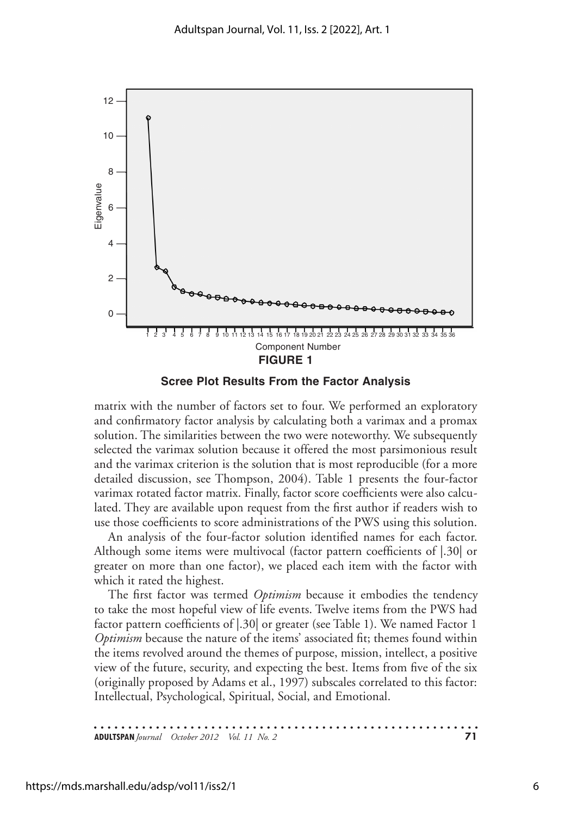

matrix with the number of factors set to four. We performed an exploratory and confirmatory factor analysis by calculating both a varimax and a promax solution. The similarities between the two were noteworthy. We subsequently selected the varimax solution because it offered the most parsimonious result and the varimax criterion is the solution that is most reproducible (for a more detailed discussion, see Thompson, 2004). Table 1 presents the four-factor varimax rotated factor matrix. Finally, factor score coefficients were also calculated. They are available upon request from the first author if readers wish to use those coefficients to score administrations of the PWS using this solution.

An analysis of the four-factor solution identified names for each factor. Although some items were multivocal (factor pattern coefficients of |.30| or greater on more than one factor), we placed each item with the factor with which it rated the highest.

The first factor was termed *Optimism* because it embodies the tendency to take the most hopeful view of life events. Twelve items from the PWS had factor pattern coefficients of |.30| or greater (see Table 1). We named Factor 1 *Optimism* because the nature of the items' associated fit; themes found within the items revolved around the themes of purpose, mission, intellect, a positive view of the future, security, and expecting the best. Items from five of the six (originally proposed by Adams et al., 1997) subscales correlated to this factor: Intellectual, Psychological, Spiritual, Social, and Emotional.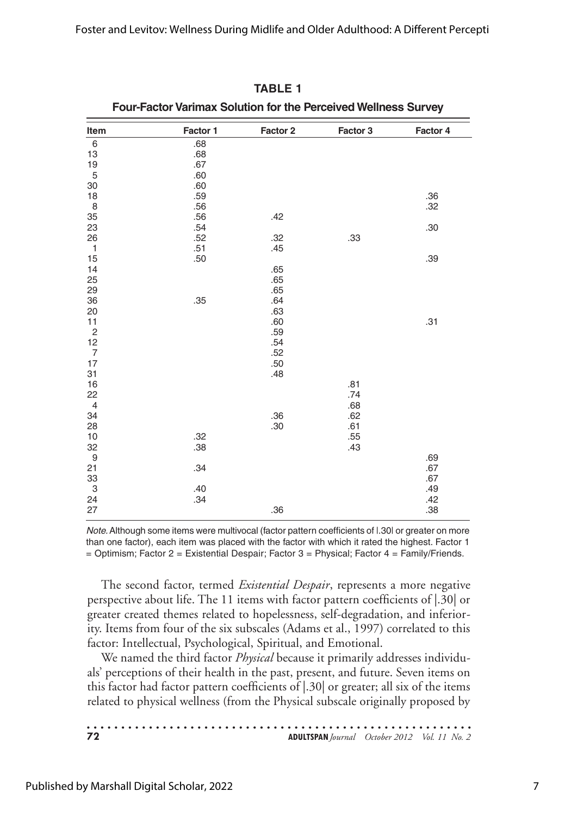| Item                                   | Factor 1 | Factor 2 | Factor 3 | Factor 4 |
|----------------------------------------|----------|----------|----------|----------|
| $\overline{6}$                         | .68      |          |          |          |
| 13                                     | .68      |          |          |          |
| 19                                     | .67      |          |          |          |
| $\overline{5}$                         | .60      |          |          |          |
| 30                                     | .60      |          |          |          |
| $18$                                   | .59      |          |          | .36      |
| $\begin{array}{c} 8 \\ 35 \end{array}$ | .56      |          |          | .32      |
|                                        | .56      | .42      |          |          |
| 23                                     | .54      |          |          | .30      |
| 26                                     | .52      | .32      | .33      |          |
| $\mathbf{1}$                           | .51      | .45      |          |          |
| 15                                     | .50      |          |          | .39      |
| 14                                     |          | .65      |          |          |
| 25                                     |          | .65      |          |          |
| 29                                     |          | .65      |          |          |
| 36                                     | .35      | .64      |          |          |
| 20                                     |          | .63      |          |          |
| 11                                     |          | .60      |          | .31      |
| $\begin{array}{c} 2 \\ 12 \end{array}$ |          | .59      |          |          |
|                                        |          | .54      |          |          |
| $\overline{7}$                         |          | .52      |          |          |
| 17                                     |          | .50      |          |          |
| 31                                     |          | .48      |          |          |
| 16                                     |          |          | .81      |          |
| 22                                     |          |          | .74      |          |
| $\overline{4}$                         |          |          | .68      |          |
| 34                                     |          | .36      | .62      |          |
| 28                                     |          | .30      | .61      |          |
| 10                                     | .32      |          | .55      |          |
| 32                                     | .38      |          | .43      |          |
| $\boldsymbol{9}$                       |          |          |          | .69      |
| 21                                     | .34      |          |          | .67      |
| 33                                     |          |          |          | .67      |
| $\ensuremath{\mathsf{3}}$              | .40      |          |          | .49      |
| 24                                     | .34      |          |          | .42      |
| 27                                     |          | .36      |          | .38      |

|--|--|

**Four-Factor Varimax Solution for the Perceived Wellness Survey**

*Note.* Although some items were multivocal (factor pattern coefficients of |.30| or greater on more than one factor), each item was placed with the factor with which it rated the highest. Factor 1 = Optimism; Factor 2 = Existential Despair; Factor 3 = Physical; Factor 4 = Family/Friends.

The second factor, termed *Existential Despair*, represents a more negative perspective about life. The 11 items with factor pattern coefficients of |.30| or greater created themes related to hopelessness, self-degradation, and inferiority. Items from four of the six subscales (Adams et al., 1997) correlated to this factor: Intellectual, Psychological, Spiritual, and Emotional.

We named the third factor *Physical* because it primarily addresses individuals' perceptions of their health in the past, present, and future. Seven items on this factor had factor pattern coefficients of |.30| or greater; all six of the items related to physical wellness (from the Physical subscale originally proposed by

| 72 | <b>ADULTSPAN</b> Journal October 2012 Vol. 11 No. 2 |  |
|----|-----------------------------------------------------|--|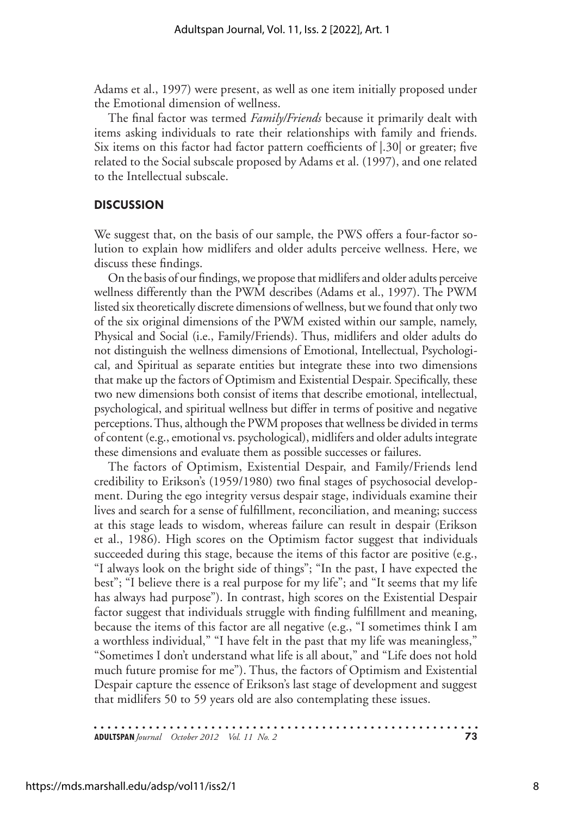Adams et al., 1997) were present, as well as one item initially proposed under the Emotional dimension of wellness.

The final factor was termed *Family/Friends* because it primarily dealt with items asking individuals to rate their relationships with family and friends. Six items on this factor had factor pattern coefficients of |.30| or greater; five related to the Social subscale proposed by Adams et al. (1997), and one related to the Intellectual subscale.

#### **Discussion**

We suggest that, on the basis of our sample, the PWS offers a four-factor solution to explain how midlifers and older adults perceive wellness. Here, we discuss these findings.

On the basis of our findings, we propose that midlifers and older adults perceive wellness differently than the PWM describes (Adams et al., 1997). The PWM listed six theoretically discrete dimensions of wellness, but we found that only two of the six original dimensions of the PWM existed within our sample, namely, Physical and Social (i.e., Family/Friends). Thus, midlifers and older adults do not distinguish the wellness dimensions of Emotional, Intellectual, Psychological, and Spiritual as separate entities but integrate these into two dimensions that make up the factors of Optimism and Existential Despair. Specifically, these two new dimensions both consist of items that describe emotional, intellectual, psychological, and spiritual wellness but differ in terms of positive and negative perceptions. Thus, although the PWM proposes that wellness be divided in terms of content (e.g., emotional vs. psychological), midlifers and older adults integrate these dimensions and evaluate them as possible successes or failures.

The factors of Optimism, Existential Despair, and Family/Friends lend credibility to Erikson's (1959/1980) two final stages of psychosocial development. During the ego integrity versus despair stage, individuals examine their lives and search for a sense of fulfillment, reconciliation, and meaning; success at this stage leads to wisdom, whereas failure can result in despair (Erikson et al., 1986). High scores on the Optimism factor suggest that individuals succeeded during this stage, because the items of this factor are positive (e.g., "I always look on the bright side of things"; "In the past, I have expected the best"; "I believe there is a real purpose for my life"; and "It seems that my life has always had purpose"). In contrast, high scores on the Existential Despair factor suggest that individuals struggle with finding fulfillment and meaning, because the items of this factor are all negative (e.g., "I sometimes think I am a worthless individual," "I have felt in the past that my life was meaningless," "Sometimes I don't understand what life is all about," and "Life does not hold much future promise for me"). Thus, the factors of Optimism and Existential Despair capture the essence of Erikson's last stage of development and suggest that midlifers 50 to 59 years old are also contemplating these issues.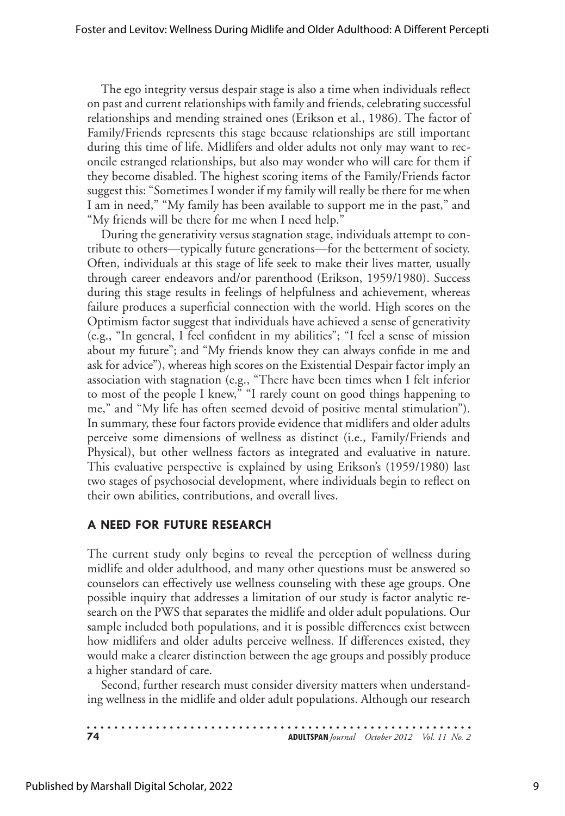The ego integrity versus despair stage is also a time when individuals reflect on past and current relationships with family and friends, celebrating successful relationships and mending strained ones (Erikson et al., 1986). The factor of Family/Friends represents this stage because relationships are still important during this time of life. Midlifers and older adults not only may want to reconcile estranged relationships, but also may wonder who will care for them if they become disabled. The highest scoring items of the Family/Friends factor suggest this: "Sometimes I wonder if my family will really be there for me when I am in need," "My family has been available to support me in the past," and "My friends will be there for me when I need help."

During the generativity versus stagnation stage, individuals attempt to contribute to others—typically future generations—for the betterment of society. Often, individuals at this stage of life seek to make their lives matter, usually through career endeavors and/or parenthood (Erikson, 1959/1980). Success during this stage results in feelings of helpfulness and achievement, whereas failure produces a superficial connection with the world. High scores on the Optimism factor suggest that individuals have achieved a sense of generativity (e.g., "In general, I feel confident in my abilities"; "I feel a sense of mission about my future"; and "My friends know they can always confide in me and ask for advice"), whereas high scores on the Existential Despair factor imply an association with stagnation (e.g., "There have been times when I felt inferior to most of the people I knew," "I rarely count on good things happening to me," and "My life has often seemed devoid of positive mental stimulation"). In summary, these four factors provide evidence that midlifers and older adults perceive some dimensions of wellness as distinct (i.e., Family/Friends and Physical), but other wellness factors as integrated and evaluative in nature. This evaluative perspective is explained by using Erikson's (1959/1980) last two stages of psychosocial development, where individuals begin to reflect on their own abilities, contributions, and overall lives.

# **A Need for Future Research**

The current study only begins to reveal the perception of wellness during midlife and older adulthood, and many other questions must be answered so counselors can effectively use wellness counseling with these age groups. One possible inquiry that addresses a limitation of our study is factor analytic research on the PWS that separates the midlife and older adult populations. Our sample included both populations, and it is possible differences exist between how midlifers and older adults perceive wellness. If differences existed, they would make a clearer distinction between the age groups and possibly produce a higher standard of care.

Second, further research must consider diversity matters when understanding wellness in the midlife and older adult populations. Although our research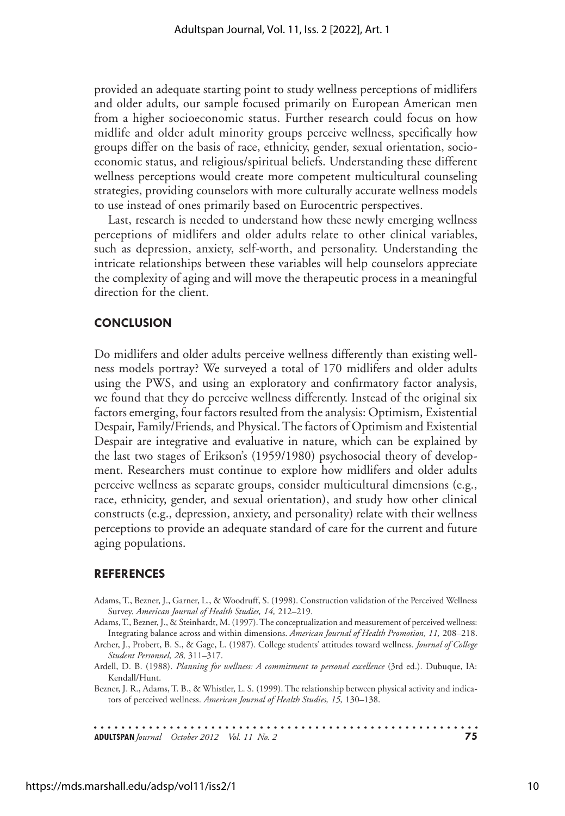provided an adequate starting point to study wellness perceptions of midlifers and older adults, our sample focused primarily on European American men from a higher socioeconomic status. Further research could focus on how midlife and older adult minority groups perceive wellness, specifically how groups differ on the basis of race, ethnicity, gender, sexual orientation, socioeconomic status, and religious/spiritual beliefs. Understanding these different wellness perceptions would create more competent multicultural counseling strategies, providing counselors with more culturally accurate wellness models to use instead of ones primarily based on Eurocentric perspectives.

Last, research is needed to understand how these newly emerging wellness perceptions of midlifers and older adults relate to other clinical variables, such as depression, anxiety, self-worth, and personality. Understanding the intricate relationships between these variables will help counselors appreciate the complexity of aging and will move the therapeutic process in a meaningful direction for the client.

### **Conclusion**

Do midlifers and older adults perceive wellness differently than existing wellness models portray? We surveyed a total of 170 midlifers and older adults using the PWS, and using an exploratory and confirmatory factor analysis, we found that they do perceive wellness differently. Instead of the original six factors emerging, four factors resulted from the analysis: Optimism, Existential Despair, Family/Friends, and Physical. The factors of Optimism and Existential Despair are integrative and evaluative in nature, which can be explained by the last two stages of Erikson's (1959/1980) psychosocial theory of development. Researchers must continue to explore how midlifers and older adults perceive wellness as separate groups, consider multicultural dimensions (e.g., race, ethnicity, gender, and sexual orientation), and study how other clinical constructs (e.g., depression, anxiety, and personality) relate with their wellness perceptions to provide an adequate standard of care for the current and future aging populations.

#### **References**

Adams, T., Bezner, J., Garner, L., & Woodruff, S. (1998). Construction validation of the Perceived Wellness Survey. *American Journal of Health Studies, 14,* 212–219.

Adams, T., Bezner, J., & Steinhardt, M. (1997). The conceptualization and measurement of perceived wellness: Integrating balance across and within dimensions. *American Journal of Health Promotion, 11,* 208–218.

Archer, J., Probert, B. S., & Gage, L. (1987). College students' attitudes toward wellness. *Journal of College Student Personnel, 28,* 311–317.

Bezner, J. R., Adams, T. B., & Whistler, L. S. (1999). The relationship between physical activity and indicators of perceived wellness. *American Journal of Health Studies, 15,* 130–138.

Ardell, D. B. (1988). *Planning for wellness: A commitment to personal excellence* (3rd ed.). Dubuque, IA: Kendall/Hunt.